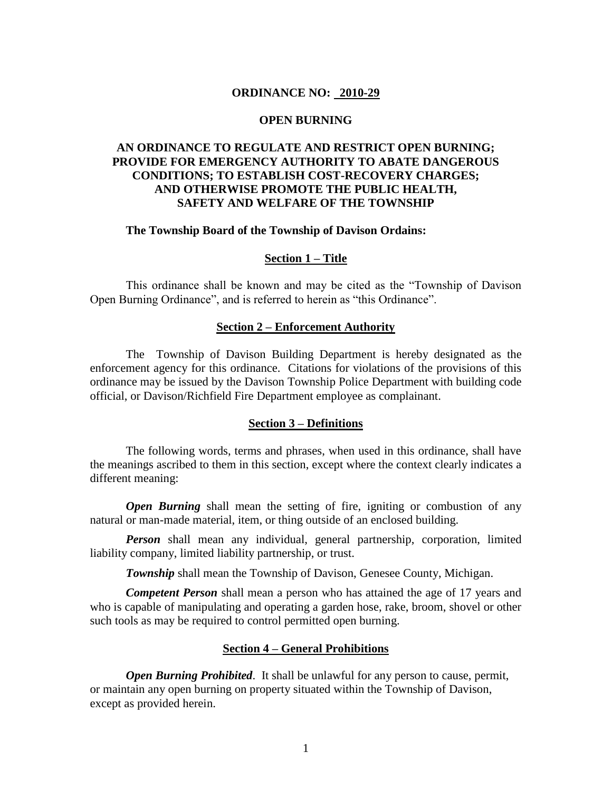## **ORDINANCE NO: 2010-29**

## **OPEN BURNING**

# **AN ORDINANCE TO REGULATE AND RESTRICT OPEN BURNING; PROVIDE FOR EMERGENCY AUTHORITY TO ABATE DANGEROUS CONDITIONS; TO ESTABLISH COST-RECOVERY CHARGES; AND OTHERWISE PROMOTE THE PUBLIC HEALTH, SAFETY AND WELFARE OF THE TOWNSHIP**

### **The Township Board of the Township of Davison Ordains:**

### **Section 1 – Title**

This ordinance shall be known and may be cited as the "Township of Davison Open Burning Ordinance", and is referred to herein as "this Ordinance".

#### **Section 2 – Enforcement Authority**

The Township of Davison Building Department is hereby designated as the enforcement agency for this ordinance. Citations for violations of the provisions of this ordinance may be issued by the Davison Township Police Department with building code official, or Davison/Richfield Fire Department employee as complainant.

#### **Section 3 – Definitions**

The following words, terms and phrases, when used in this ordinance, shall have the meanings ascribed to them in this section, except where the context clearly indicates a different meaning:

*Open Burning* shall mean the setting of fire, igniting or combustion of any natural or man-made material, item, or thing outside of an enclosed building.

*Person* shall mean any individual, general partnership, corporation, limited liability company, limited liability partnership, or trust.

**Township** shall mean the Township of Davison, Genesee County, Michigan.

*Competent Person* shall mean a person who has attained the age of 17 years and who is capable of manipulating and operating a garden hose, rake, broom, shovel or other such tools as may be required to control permitted open burning.

## **Section 4 – General Prohibitions**

*Open Burning Prohibited*. It shall be unlawful for any person to cause, permit, or maintain any open burning on property situated within the Township of Davison, except as provided herein.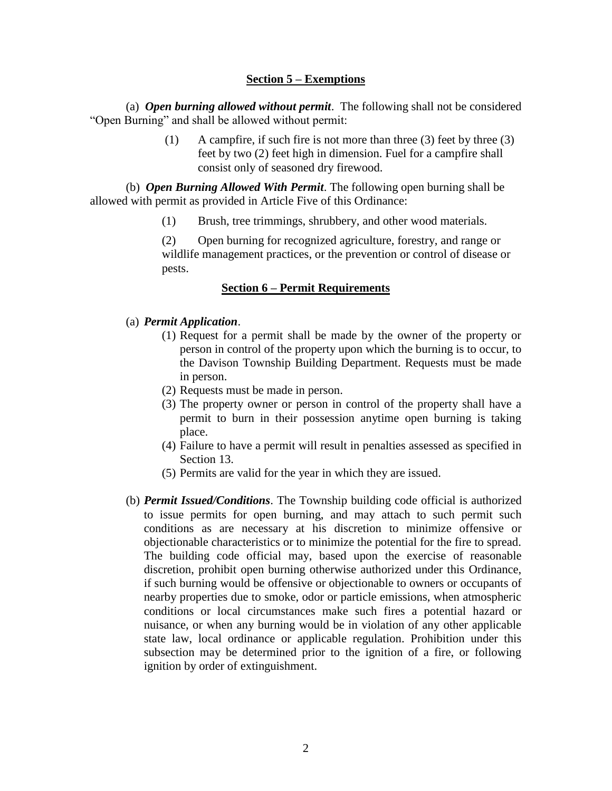# **Section 5 – Exemptions**

(a) *Open burning allowed without permit*. The following shall not be considered "Open Burning" and shall be allowed without permit:

> (1) A campfire, if such fire is not more than three (3) feet by three (3) feet by two (2) feet high in dimension. Fuel for a campfire shall consist only of seasoned dry firewood.

(b) *Open Burning Allowed With Permit*. The following open burning shall be allowed with permit as provided in Article Five of this Ordinance:

(1) Brush, tree trimmings, shrubbery, and other wood materials.

(2) Open burning for recognized agriculture, forestry, and range or wildlife management practices, or the prevention or control of disease or pests.

# **Section 6 – Permit Requirements**

# (a) *Permit Application*.

- (1) Request for a permit shall be made by the owner of the property or person in control of the property upon which the burning is to occur, to the Davison Township Building Department. Requests must be made in person.
- (2) Requests must be made in person.
- (3) The property owner or person in control of the property shall have a permit to burn in their possession anytime open burning is taking place.
- (4) Failure to have a permit will result in penalties assessed as specified in Section 13.
- (5) Permits are valid for the year in which they are issued.
- (b) *Permit Issued/Conditions*. The Township building code official is authorized to issue permits for open burning, and may attach to such permit such conditions as are necessary at his discretion to minimize offensive or objectionable characteristics or to minimize the potential for the fire to spread. The building code official may, based upon the exercise of reasonable discretion, prohibit open burning otherwise authorized under this Ordinance, if such burning would be offensive or objectionable to owners or occupants of nearby properties due to smoke, odor or particle emissions, when atmospheric conditions or local circumstances make such fires a potential hazard or nuisance, or when any burning would be in violation of any other applicable state law, local ordinance or applicable regulation. Prohibition under this subsection may be determined prior to the ignition of a fire, or following ignition by order of extinguishment.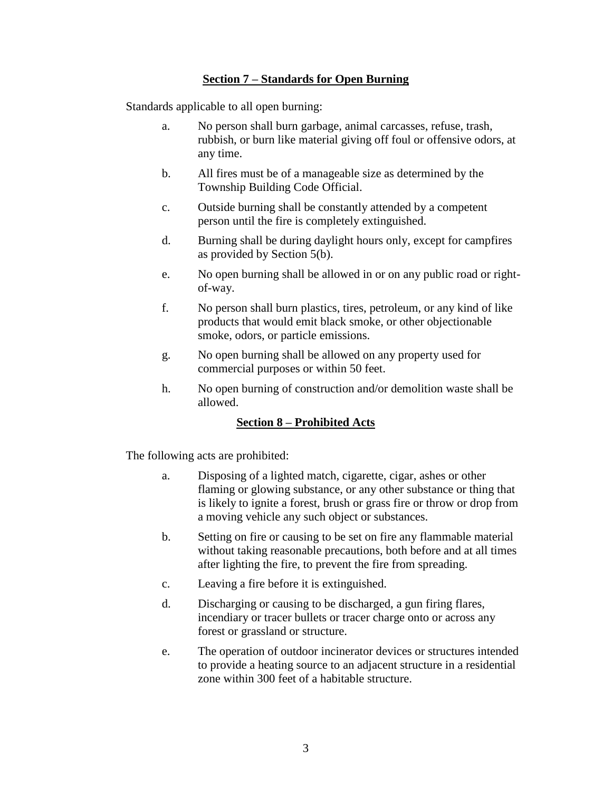# **Section 7 – Standards for Open Burning**

Standards applicable to all open burning:

- a. No person shall burn garbage, animal carcasses, refuse, trash, rubbish, or burn like material giving off foul or offensive odors, at any time.
- b. All fires must be of a manageable size as determined by the Township Building Code Official.
- c. Outside burning shall be constantly attended by a competent person until the fire is completely extinguished.
- d. Burning shall be during daylight hours only, except for campfires as provided by Section 5(b).
- e. No open burning shall be allowed in or on any public road or rightof-way.
- f. No person shall burn plastics, tires, petroleum, or any kind of like products that would emit black smoke, or other objectionable smoke, odors, or particle emissions.
- g. No open burning shall be allowed on any property used for commercial purposes or within 50 feet.
- h. No open burning of construction and/or demolition waste shall be allowed.

# **Section 8 – Prohibited Acts**

The following acts are prohibited:

- a. Disposing of a lighted match, cigarette, cigar, ashes or other flaming or glowing substance, or any other substance or thing that is likely to ignite a forest, brush or grass fire or throw or drop from a moving vehicle any such object or substances.
- b. Setting on fire or causing to be set on fire any flammable material without taking reasonable precautions, both before and at all times after lighting the fire, to prevent the fire from spreading.
- c. Leaving a fire before it is extinguished.
- d. Discharging or causing to be discharged, a gun firing flares, incendiary or tracer bullets or tracer charge onto or across any forest or grassland or structure.
- e. The operation of outdoor incinerator devices or structures intended to provide a heating source to an adjacent structure in a residential zone within 300 feet of a habitable structure.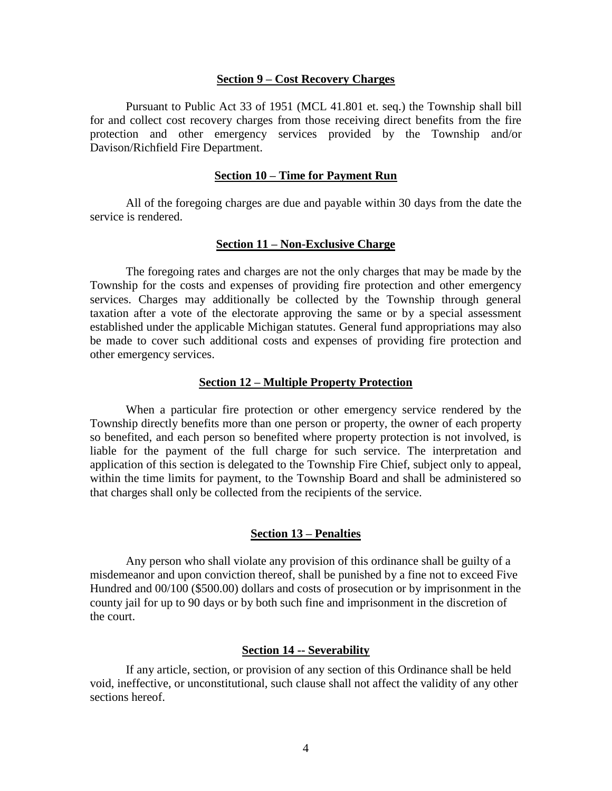#### **Section 9 – Cost Recovery Charges**

Pursuant to Public Act 33 of 1951 (MCL 41.801 et. seq.) the Township shall bill for and collect cost recovery charges from those receiving direct benefits from the fire protection and other emergency services provided by the Township and/or Davison/Richfield Fire Department.

## **Section 10 – Time for Payment Run**

All of the foregoing charges are due and payable within 30 days from the date the service is rendered.

#### **Section 11 – Non-Exclusive Charge**

The foregoing rates and charges are not the only charges that may be made by the Township for the costs and expenses of providing fire protection and other emergency services. Charges may additionally be collected by the Township through general taxation after a vote of the electorate approving the same or by a special assessment established under the applicable Michigan statutes. General fund appropriations may also be made to cover such additional costs and expenses of providing fire protection and other emergency services.

### **Section 12 – Multiple Property Protection**

When a particular fire protection or other emergency service rendered by the Township directly benefits more than one person or property, the owner of each property so benefited, and each person so benefited where property protection is not involved, is liable for the payment of the full charge for such service. The interpretation and application of this section is delegated to the Township Fire Chief, subject only to appeal, within the time limits for payment, to the Township Board and shall be administered so that charges shall only be collected from the recipients of the service.

## **Section 13 – Penalties**

Any person who shall violate any provision of this ordinance shall be guilty of a misdemeanor and upon conviction thereof, shall be punished by a fine not to exceed Five Hundred and 00/100 (\$500.00) dollars and costs of prosecution or by imprisonment in the county jail for up to 90 days or by both such fine and imprisonment in the discretion of the court.

## **Section 14 -- Severability**

If any article, section, or provision of any section of this Ordinance shall be held void, ineffective, or unconstitutional, such clause shall not affect the validity of any other sections hereof.